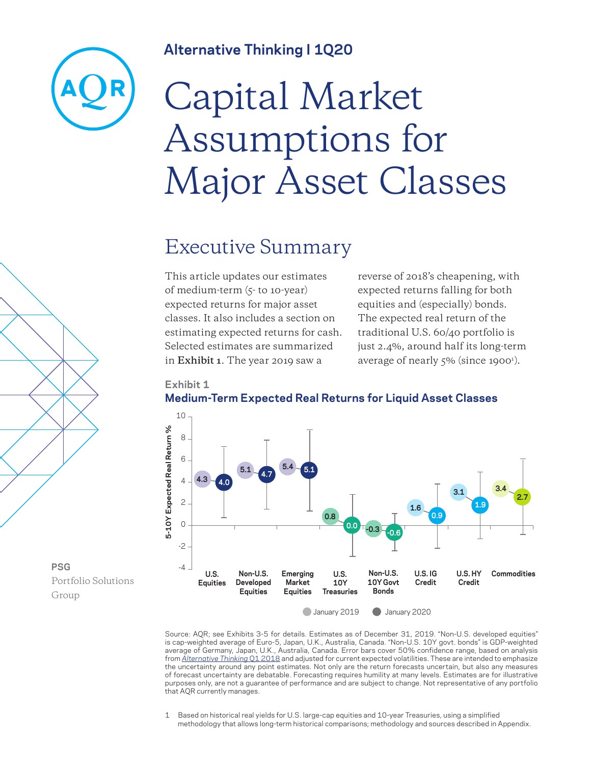### **Alternative Thinking I 1Q20**



# Capital Market Assumptions for Major Asset Classes

### Executive Summary

This article updates our estimates of medium-term (5- to 10-year) expected returns for major asset classes. It also includes a section on estimating expected returns for cash. Selected estimates are summarized in **Exhibit 1**. The year 2019 saw a

reverse of 2018's cheapening, with expected returns falling for both equities and (especially) bonds. The expected real return of the traditional U.S. 60/40 portfolio is just 2.4%, around half its long-term average of nearly 5% (since 1900<sup>1</sup>).





Source: AQR; see Exhibits 3-5 for details. Estimates as of December 31, 2019. "Non-U.S. developed equities" is cap-weighted average of Euro-5, Japan, U.K., Australia, Canada. "Non-U.S. 10Y govt. bonds" is GDP-weighted average of Germany, Japan, U.K., Australia, Canada. Error bars cover 50% confidence range, based on analysis from *[Alternative Thinking](https://www.aqr.com/Insights/Research/Alternative-Thinking/2018-Capital-Market-Assumptions-for-Major-Asset-Classes)* Q1 2018 and adjusted for current expected volatilities. These are intended to emphasize the uncertainty around any point estimates. Not only are the return forecasts uncertain, but also any measures of forecast uncertainty are debatable. Forecasting requires humility at many levels. Estimates are for illustrative purposes only, are not a guarantee of performance and are subject to change. Not representative of any portfolio

1 Based on historical real yields for U.S. large-cap equities and 10-year Treasuries, using a simplified methodology that allows long-term historical comparisons; methodology and sources described in Appendix.

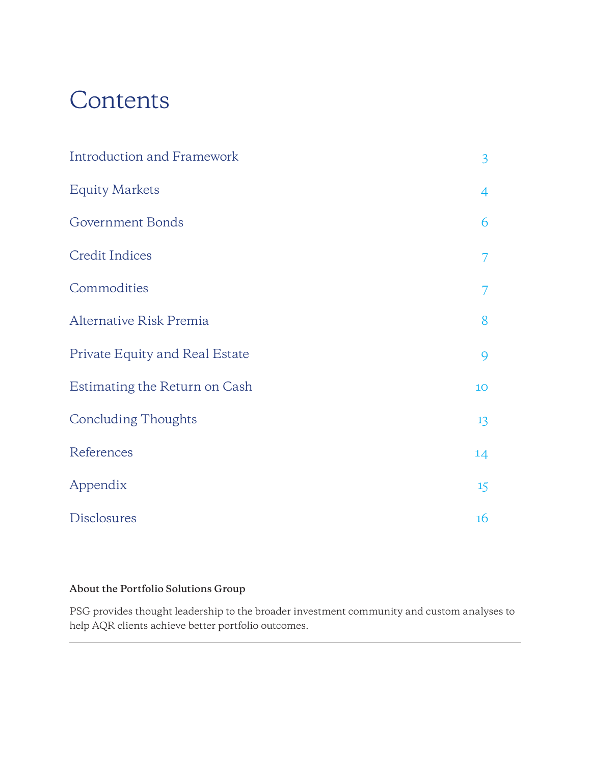# Contents

| <b>Introduction and Framework</b> | $\overline{3}$ |
|-----------------------------------|----------------|
| <b>Equity Markets</b>             | 4              |
| Government Bonds                  | 6              |
| <b>Credit Indices</b>             | 7              |
| Commodities                       | 7              |
| Alternative Risk Premia           | 8              |
| Private Equity and Real Estate    | 9              |
| Estimating the Return on Cash     | 10             |
| <b>Concluding Thoughts</b>        | 13             |
| References                        | 14             |
| Appendix                          | 15             |
| Disclosures                       | 16             |

### **About the Portfolio Solutions Group**

PSG provides thought leadership to the broader investment community and custom analyses to help AQR clients achieve better portfolio outcomes.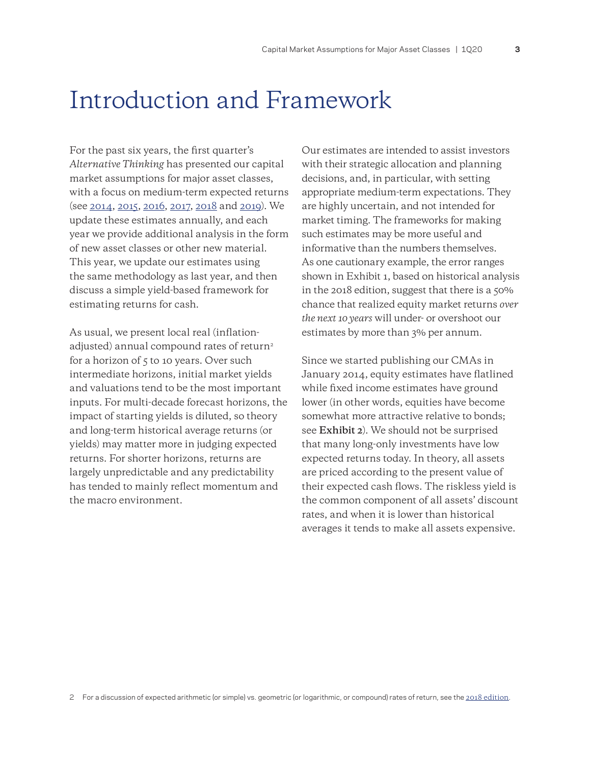### <span id="page-2-0"></span>Introduction and Framework

For the past six years, the first quarter's *Alternative Thinking* has presented our capital market assumptions for major asset classes, with a focus on medium-term expected returns (see [2014](https://www.aqr.com/Insights/Research/Alternative-Thinking/2014-Capital-Market-Assumptions-for-Major-Asset-Classes), [2015,](https://www.aqr.com/Insights/Research/Alternative-Thinking/2015-Capital-Market-Assumptions-for-Major-Asset-Classes) [2016,](https://www.aqr.com/Insights/Research/Alternative-Thinking/2016-Capital-Market-Assumptions-for-Major-Asset-Classes) [2017](https://www.aqr.com/Insights/Research/Alternative-Thinking/2017-Capital-Market-Assumptions-For-Major-Asset-Classes), [2018](https://www.aqr.com/Insights/Research/Alternative-Thinking/2018-Capital-Market-Assumptions-for-Major-Asset-Classes) and [2019](https://www.aqr.com/Insights/Research/Alternative-Thinking/2019-Capital-Market-Assumptions-for-Major-Asset-Classes)). We update these estimates annually, and each year we provide additional analysis in the form of new asset classes or other new material. This year, we update our estimates using the same methodology as last year, and then discuss a simple yield-based framework for estimating returns for cash.

As usual, we present local real (inflationadjusted) annual compound rates of return<sup>2</sup> for a horizon of 5 to 10 years. Over such intermediate horizons, initial market yields and valuations tend to be the most important inputs. For multi-decade forecast horizons, the impact of starting yields is diluted, so theory and long-term historical average returns (or yields) may matter more in judging expected returns. For shorter horizons, returns are largely unpredictable and any predictability has tended to mainly reflect momentum and the macro environment.

Our estimates are intended to assist investors with their strategic allocation and planning decisions, and, in particular, with setting appropriate medium-term expectations. They are highly uncertain, and not intended for market timing. The frameworks for making such estimates may be more useful and informative than the numbers themselves. As one cautionary example, the error ranges shown in Exhibit 1, based on historical analysis in the 2018 edition, suggest that there is a 50% chance that realized equity market returns *over the next 10 years* will under- or overshoot our estimates by more than 3% per annum.

Since we started publishing our CMAs in January 2014, equity estimates have flatlined while fixed income estimates have ground lower (in other words, equities have become somewhat more attractive relative to bonds; see **Exhibit 2**). We should not be surprised that many long-only investments have low expected returns today. In theory, all assets are priced according to the present value of their expected cash flows. The riskless yield is the common component of all assets' discount rates, and when it is lower than historical averages it tends to make all assets expensive.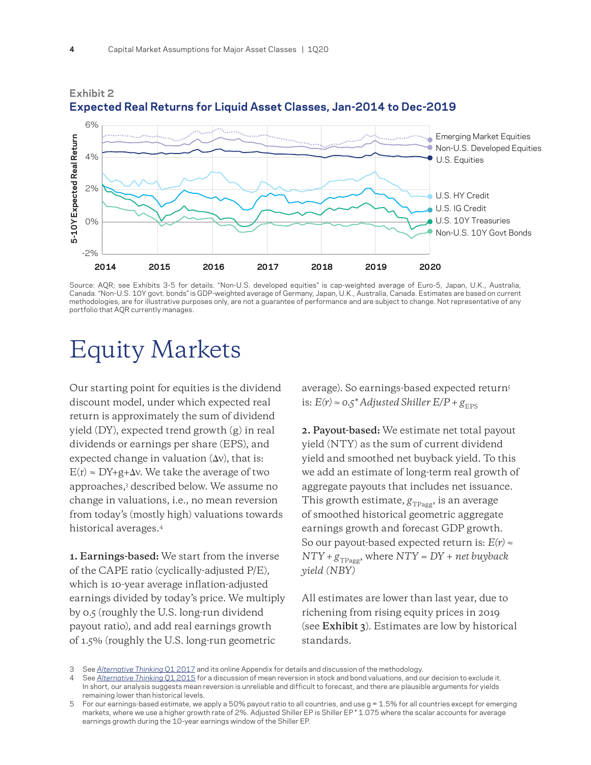

### **Expected Real Returns for Liquid Asset Classes, Jan-2014 to Dec-2019**

Source: AQR; see Exhibits 3-5 for details. "Non-U.S. developed equities" is cap-weighted average of Euro-5, Japan, U.K., Australia, Canada. "Non-U.S. 10Y govt. bonds" is GDP-weighted average of Germany, Japan, U.K., Australia, Canada. Estimates are based on current methodologies, are for illustrative purposes only, are not a guarantee of performance and are subject to change. Not representative of any portfolio that AQR currently manages.

### Equity Markets

<span id="page-3-0"></span>**Exhibit 2** 

Our starting point for equities is the dividend discount model, under which expected real return is approximately the sum of dividend yield (DY), expected trend growth (g) in real dividends or earnings per share (EPS), and expected change in valuation  $(\Delta v)$ , that is:  $E(r) \approx DY + g + \Delta v$ . We take the average of two approaches,3 described below. We assume no change in valuations, i.e., no mean reversion from today's (mostly high) valuations towards historical averages.4

**1. Earnings-based:** We start from the inverse of the CAPE ratio (cyclically-adjusted P/E), which is 10-year average inflation-adjusted earnings divided by today's price. We multiply by 0.5 (roughly the U.S. long-run dividend payout ratio), and add real earnings growth of 1.5% (roughly the U.S. long-run geometric

average). So earnings-based expected return5 is:  $E(r) \approx 0.5^*$  Adjusted Shiller  $E/P + g_{\text{FPS}}$ 

**2. Payout-based:** We estimate net total payout yield (NTY) as the sum of current dividend yield and smoothed net buyback yield. To this we add an estimate of long-term real growth of aggregate payouts that includes net issuance. This growth estimate,  $g_{TPaqg}$ , is an average of smoothed historical geometric aggregate earnings growth and forecast GDP growth. So our payout-based expected return is: *E(r) ≈*   $NTY + g_{TPage}$ , where  $NTY = DY + net$  *buyback yield (NBY)*

All estimates are lower than last year, due to richening from rising equity prices in 2019 (see **Exhibit 3**). Estimates are low by historical standards.

<sup>3</sup> See *[Alternative Thinking](https://www.aqr.com/Insights/Research/Alternative-Thinking/2017-Capital-Market-Assumptions-For-Major-Asset-Classes)* Q1 2017 and its online Appendix for details and discussion of the methodology.

<sup>4</sup> See *[Alternative Thinking](https://www.aqr.com/Insights/Research/Alternative-Thinking/2015-Capital-Market-Assumptions-for-Major-Asset-Classes)* Q1 2015 for a discussion of mean reversion in stock and bond valuations, and our decision to exclude it. In short, our analysis suggests mean reversion is unreliable and difficult to forecast, and there are plausible arguments for yields remaining lower than historical levels.

For our earnings-based estimate, we apply a 50% payout ratio to all countries, and use  $q = 1.5\%$  for all countries except for emerging markets, where we use a higher growth rate of 2%. Adjusted Shiller EP is Shiller EP \* 1.075 where the scalar accounts for average earnings growth during the 10-year earnings window of the Shiller EP.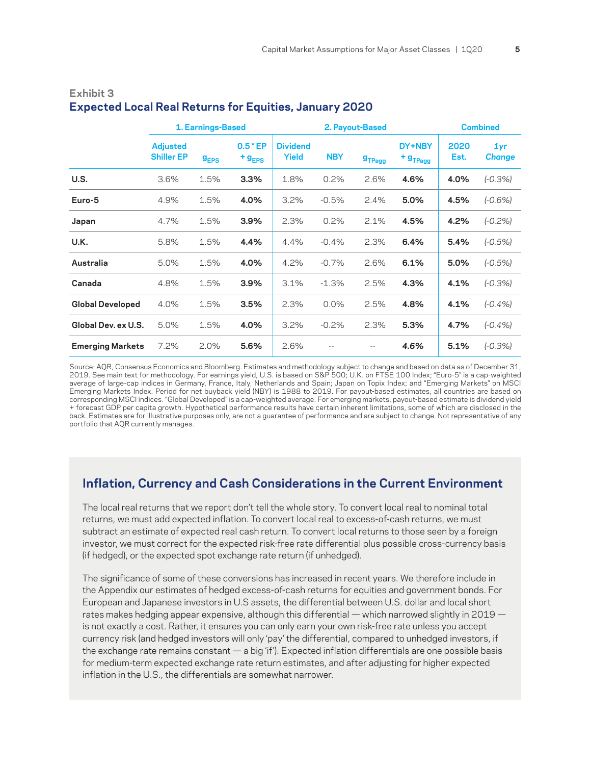|                         |                                      | 1. Earnings-Based |                             |                                 | 2. Payout-Based | <b>Combined</b> |                                    |              |                      |
|-------------------------|--------------------------------------|-------------------|-----------------------------|---------------------------------|-----------------|-----------------|------------------------------------|--------------|----------------------|
|                         | <b>Adjusted</b><br><b>Shiller EP</b> | g <sub>EPS</sub>  | $0.5$ * EP<br>$+$ $g_{EPS}$ | <b>Dividend</b><br><b>Yield</b> | <b>NBY</b>      | $g_{TPage}$     | DY+NBY<br>$+$ $g$ <sub>TPagg</sub> | 2020<br>Est. | 1yr<br><b>Change</b> |
| U.S.                    | 3.6%                                 | 1.5%              | 3.3%                        | 1.8%                            | 0.2%            | 2.6%            | 4.6%                               | 4.0%         | $(-0.3%)$            |
| Euro-5                  | 4.9%                                 | 1.5%              | 4.0%                        | 3.2%                            | $-0.5%$         | 2.4%            | 5.0%                               | 4.5%         | $(-0.6%)$            |
| Japan                   | 4.7%                                 | 1.5%              | 3.9%                        | 2.3%                            | 0.2%            | 2.1%            | 4.5%                               | 4.2%         | $(-0.2%)$            |
| U.K.                    | 5.8%                                 | 1.5%              | 4.4%                        | 4.4%                            | $-0.4%$         | 2.3%            | 6.4%                               | 5.4%         | $(-0.5%)$            |
| Australia               | 5.0%                                 | 1.5%              | 4.0%                        | 4.2%                            | $-0.7%$         | 2.6%            | 6.1%                               | 5.0%         | $(-0.5%)$            |
| Canada                  | 4.8%                                 | 1.5%              | 3.9%                        | 3.1%                            | $-1.3%$         | 2.5%            | 4.3%                               | 4.1%         | $(-0.3%)$            |
| <b>Global Developed</b> | 4.0%                                 | 1.5%              | 3.5%                        | 2.3%                            | 0.0%            | 2.5%            | 4.8%                               | 4.1%         | $(-0.4%$             |
| Global Dev. ex U.S.     | 5.0%                                 | 1.5%              | 4.0%                        | 3.2%                            | $-0.2%$         | 2.3%            | 5.3%                               | 4.7%         | $(-0.4%$             |
| <b>Emerging Markets</b> | 7.2%                                 | 2.0%              | 5.6%                        | 2.6%                            |                 | --              | 4.6%                               | 5.1%         | $(-0.3%)$            |

### **Exhibit 3 Expected Local Real Returns for Equities, January 2020**

Source: AQR, Consensus Economics and Bloomberg. Estimates and methodology subject to change and based on data as of December 31, 2019. See main text for methodology. For earnings yield, U.S. is based on S&P 500; U.K. on FTSE 100 Index; "Euro-5" is a cap-weighted average of large-cap indices in Germany, France, Italy, Netherlands and Spain; Japan on Topix Index; and "Emerging Markets" on MSCI Emerging Markets Index. Period for net buyback yield (NBY) is 1988 to 2019. For payout-based estimates, all countries are based on corresponding MSCI indices. "Global Developed" is a cap-weighted average. For emerging markets, payout-based estimate is dividend yield + forecast GDP per capita growth. Hypothetical performance results have certain inherent limitations, some of which are disclosed in the back. Estimates are for illustrative purposes only, are not a guarantee of performance and are subject to change. Not representative of any portfolio that AQR currently manages.

### **Inflation, Currency and Cash Considerations in the Current Environment**

The local real returns that we report don't tell the whole story. To convert local real to nominal total returns, we must add expected inflation. To convert local real to excess-of-cash returns, we must subtract an estimate of expected real cash return. To convert local returns to those seen by a foreign investor, we must correct for the expected risk-free rate differential plus possible cross-currency basis (if hedged), or the expected spot exchange rate return (if unhedged).

The significance of some of these conversions has increased in recent years. We therefore include in the Appendix our estimates of hedged excess-of-cash returns for equities and government bonds. For European and Japanese investors in U.S assets, the differential between U.S. dollar and local short rates makes hedging appear expensive, although this differential — which narrowed slightly in  $2019$ is not exactly a cost. Rather, it ensures you can only earn your own risk-free rate unless you accept currency risk (and hedged investors will only 'pay' the differential, compared to unhedged investors, if the exchange rate remains constant — a big 'if'). Expected inflation differentials are one possible basis for medium-term expected exchange rate return estimates, and after adjusting for higher expected inflation in the U.S., the differentials are somewhat narrower.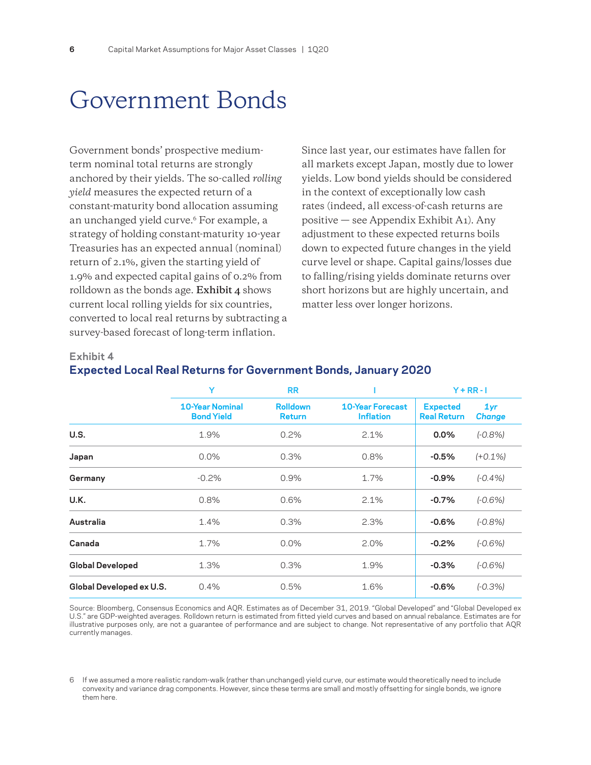### <span id="page-5-0"></span>Government Bonds

Government bonds' prospective mediumterm nominal total returns are strongly anchored by their yields. The so-called *rolling yield* measures the expected return of a constant-maturity bond allocation assuming an unchanged yield curve.<sup>6</sup> For example, a strategy of holding constant-maturity 10-year Treasuries has an expected annual (nominal) return of 2.1%, given the starting yield of 1.9% and expected capital gains of 0.2% from rolldown as the bonds age. **Exhibit 4** shows current local rolling yields for six countries, converted to local real returns by subtracting a survey-based forecast of long-term inflation.

Since last year, our estimates have fallen for all markets except Japan, mostly due to lower yields. Low bond yields should be considered in the context of exceptionally low cash rates (indeed, all excess-of-cash returns are positive — see Appendix Exhibit A1). Any adjustment to these expected returns boils down to expected future changes in the yield curve level or shape. Capital gains/losses due to falling/rising yields dominate returns over short horizons but are highly uncertain, and matter less over longer horizons.

#### **Exhibit 4**

|  |  |  | <b>Expected Local Real Returns for Government Bonds, January 2020</b> |  |  |
|--|--|--|-----------------------------------------------------------------------|--|--|
|--|--|--|-----------------------------------------------------------------------|--|--|

|                          | Y                                           | <b>RR</b>                        |                                             | $Y + RR - I$                          |                      |  |
|--------------------------|---------------------------------------------|----------------------------------|---------------------------------------------|---------------------------------------|----------------------|--|
|                          | <b>10-Year Nominal</b><br><b>Bond Yield</b> | <b>Rolldown</b><br><b>Return</b> | <b>10-Year Forecast</b><br><b>Inflation</b> | <b>Expected</b><br><b>Real Return</b> | 1yr<br><b>Change</b> |  |
| U.S.                     | 1.9%                                        | 0.2%                             | 2.1%                                        | $0.0\%$                               | $(-0.8%)$            |  |
| Japan                    | $0.0\%$                                     | 0.3%                             | 0.8%                                        | $-0.5%$                               | $(+0.1%)$            |  |
| Germany                  | $-0.2%$                                     | 0.9%                             | 1.7%                                        | $-0.9%$                               | $(-0.4%$             |  |
| U.K.                     | 0.8%                                        | 0.6%                             | 2.1%                                        | $-0.7%$                               | $(-0.6%)$            |  |
| Australia                | 1.4%                                        | 0.3%                             | 2.3%                                        | $-0.6%$                               | $(-0.8%)$            |  |
| Canada                   | 1.7%                                        | $0.0\%$                          | 2.0%                                        | $-0.2%$                               | $(-0.6%)$            |  |
| <b>Global Developed</b>  | 1.3%                                        | 0.3%                             | 1.9%                                        | $-0.3%$                               | $(-0.6%)$            |  |
| Global Developed ex U.S. | 0.4%                                        | 0.5%                             | 1.6%                                        | $-0.6%$                               | $(-0.3%)$            |  |

Source: Bloomberg, Consensus Economics and AQR. Estimates as of December 31, 2019. "Global Developed" and "Global Developed ex U.S." are GDP-weighted averages. Rolldown return is estimated from fitted yield curves and based on annual rebalance. Estimates are for illustrative purposes only, are not a guarantee of performance and are subject to change. Not representative of any portfolio that AQR currently manages.

<sup>6</sup> If we assumed a more realistic random-walk (rather than unchanged) yield curve, our estimate would theoretically need to include convexity and variance drag components. However, since these terms are small and mostly offsetting for single bonds, we ignore them here.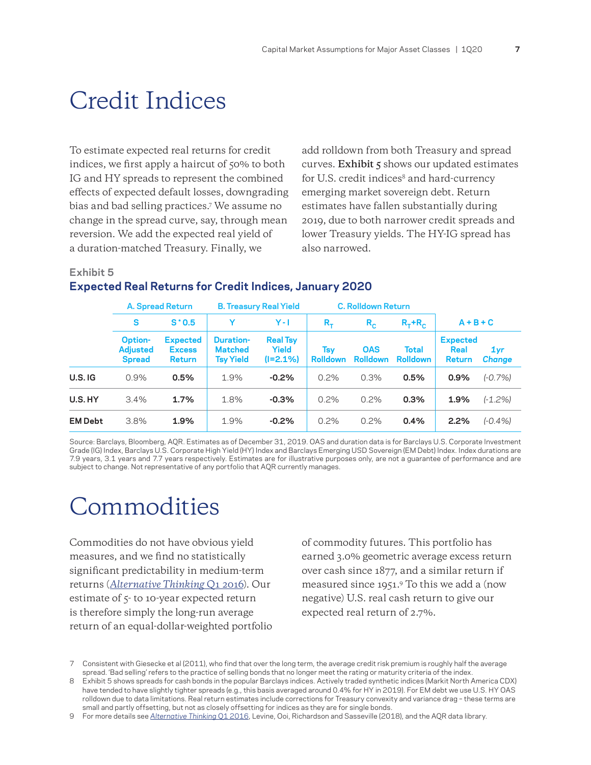### <span id="page-6-0"></span>Credit Indices

To estimate expected real returns for credit indices, we first apply a haircut of 50% to both IG and HY spreads to represent the combined effects of expected default losses, downgrading bias and bad selling practices.7 We assume no change in the spread curve, say, through mean reversion. We add the expected real yield of a duration-matched Treasury. Finally, we

add rolldown from both Treasury and spread curves. **Exhibit 5** shows our updated estimates for U.S. credit indices<sup>8</sup> and hard-currency emerging market sovereign debt. Return estimates have fallen substantially during 2019, due to both narrower credit spreads and lower Treasury yields. The HY-IG spread has also narrowed.

#### **Exhibit 5**

### **Expected Real Returns for Credit Indices, January 2020**

|                | A. Spread Return                            |                                                   | <b>B. Treasury Real Yield</b>                          |                                      |                        | <b>C. Rolldown Return</b>     |                          |                                   |                      |
|----------------|---------------------------------------------|---------------------------------------------------|--------------------------------------------------------|--------------------------------------|------------------------|-------------------------------|--------------------------|-----------------------------------|----------------------|
|                | S                                           | $S^{\star}0.5$                                    | Y                                                      | $Y - I$                              | $R_{\tau}$             | $R_{\rm c}$                   | $R_T$ + $R_C$            | $A + B + C$                       |                      |
|                | Option-<br><b>Adjusted</b><br><b>Spread</b> | <b>Expected</b><br><b>Excess</b><br><b>Return</b> | <b>Duration-</b><br><b>Matched</b><br><b>Tsy Yield</b> | <b>Real Tsy</b><br>Yield<br>(1=2.1%) | Tsv<br><b>Rolldown</b> | <b>OAS</b><br><b>Rolldown</b> | Total<br><b>Rolldown</b> | <b>Expected</b><br>Real<br>Return | 1yr<br><b>Change</b> |
| $U.S.$ IG      | 0.9%                                        | 0.5%                                              | 1.9%                                                   | $-0.2%$                              | 0.2%                   | 0.3%                          | 0.5%                     | 0.9%                              | $(-0.7%)$            |
| U.S.HY         | 3.4%                                        | 1.7%                                              | 1.8%                                                   | $-0.3%$                              | 0.2%                   | 0.2%                          | 0.3%                     | 1.9%                              | $(-1.2%)$            |
| <b>EM Debt</b> | 3.8%                                        | 1.9%                                              | 1.9%                                                   | $-0.2%$                              | 0.2%                   | 0.2%                          | 0.4%                     | 2.2%                              | $(-0.4%$             |

Source: Barclays, Bloomberg, AQR. Estimates as of December 31, 2019. OAS and duration data is for Barclays U.S. Corporate Investment Grade (IG) Index, Barclays U.S. Corporate High Yield (HY) Index and Barclays Emerging USD Sovereign (EM Debt) Index. Index durations are 7.9 years, 3.1 years and 7.7 years respectively. Estimates are for illustrative purposes only, are not a guarantee of performance and are subject to change. Not representative of any portfolio that AQR currently manages.

## Commodities

Commodities do not have obvious yield measures, and we find no statistically significant predictability in medium-term returns (*[Alternative Thinking](https://www.aqr.com/Insights/Research/Alternative-Thinking/2016-Capital-Market-Assumptions-for-Major-Asset-Classes)* Q1 2016). Our estimate of  $\zeta$ - to 10-year expected return is therefore simply the long-run average return of an equal-dollar-weighted portfolio of commodity futures. This portfolio has earned 3.0% geometric average excess return over cash since 1877, and a similar return if measured since 1951.9 To this we add a (now negative) U.S. real cash return to give our expected real return of 2.7%.

<sup>7</sup>  Consistent with Giesecke et al (2011), who find that over the long term, the average credit risk premium is roughly half the average spread. 'Bad selling' refers to the practice of selling bonds that no longer meet the rating or maturity criteria of the index.

<sup>8</sup> Exhibit 5 shows spreads for cash bonds in the popular Barclays indices. Actively traded synthetic indices (Markit North America CDX) have tended to have slightly tighter spreads (e.g., this basis averaged around 0.4% for HY in 2019). For EM debt we use U.S. HY OAS rolldown due to data limitations. Real return estimates include corrections for Treasury convexity and variance drag – these terms are small and partly offsetting, but not as closely offsetting for indices as they are for single bonds.

<sup>9</sup> For more details see *[Alternative Thinking](https://www.aqr.com/Insights/Research/Alternative-Thinking/2016-Capital-Market-Assumptions-for-Major-Asset-Classes)* Q1 2016, Levine, Ooi, Richardson and Sasseville (2018), and the AQR data library.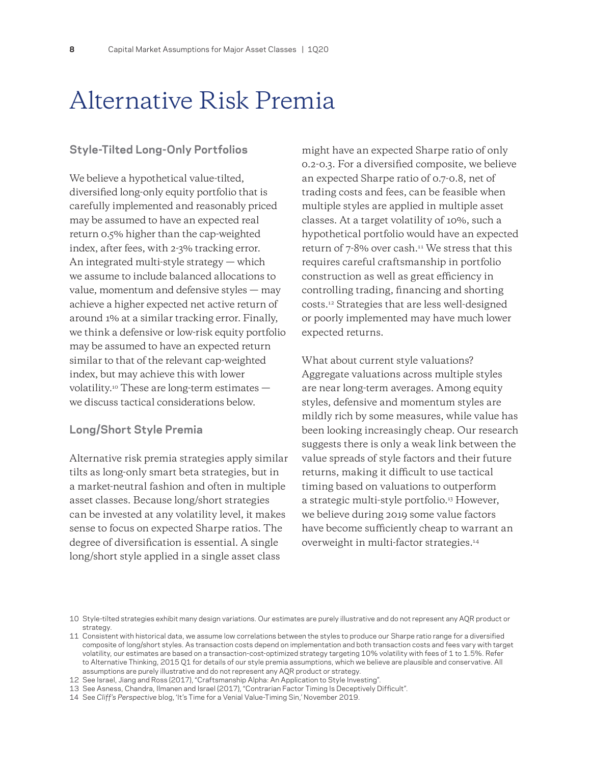### <span id="page-7-0"></span>Alternative Risk Premia

#### **Style-Tilted Long-Only Portfolios**

We believe a hypothetical value-tilted, diversified long-only equity portfolio that is carefully implemented and reasonably priced may be assumed to have an expected real return 0.5% higher than the cap-weighted index, after fees, with 2-3% tracking error. An integrated multi-style strategy — which we assume to include balanced allocations to value, momentum and defensive styles — may achieve a higher expected net active return of around 1% at a similar tracking error. Finally, we think a defensive or low-risk equity portfolio may be assumed to have an expected return similar to that of the relevant cap-weighted index, but may achieve this with lower volatility.10 These are long-term estimates we discuss tactical considerations below.

### **Long/Short Style Premia**

Alternative risk premia strategies apply similar tilts as long-only smart beta strategies, but in a market-neutral fashion and often in multiple asset classes. Because long/short strategies can be invested at any volatility level, it makes sense to focus on expected Sharpe ratios. The degree of diversification is essential. A single long/short style applied in a single asset class

might have an expected Sharpe ratio of only 0.2-0.3. For a diversified composite, we believe an expected Sharpe ratio of 0.7-0.8, net of trading costs and fees, can be feasible when multiple styles are applied in multiple asset classes. At a target volatility of 10%, such a hypothetical portfolio would have an expected return of 7-8% over cash.<sup>11</sup> We stress that this requires careful craftsmanship in portfolio construction as well as great efficiency in controlling trading, financing and shorting costs.12 Strategies that are less well-designed or poorly implemented may have much lower expected returns.

What about current style valuations? Aggregate valuations across multiple styles are near long-term averages. Among equity styles, defensive and momentum styles are mildly rich by some measures, while value has been looking increasingly cheap. Our research suggests there is only a weak link between the value spreads of style factors and their future returns, making it difficult to use tactical timing based on valuations to outperform a strategic multi-style portfolio.<sup>13</sup> However, we believe during 2019 some value factors have become sufficiently cheap to warrant an overweight in multi-factor strategies.14

<sup>10</sup> Style-tilted strategies exhibit many design variations. Our estimates are purely illustrative and do not represent any AQR product or strategy.

<sup>11</sup> Consistent with historical data, we assume low correlations between the styles to produce our Sharpe ratio range for a diversified composite of long/short styles. As transaction costs depend on implementation and both transaction costs and fees vary with target volatility, our estimates are based on a transaction-cost-optimized strategy targeting 10% volatility with fees of 1 to 1.5%. Refer to Alternative Thinking, 2015 Q1 for details of our style premia assumptions, which we believe are plausible and conservative. All assumptions are purely illustrative and do not represent any AQR product or strategy.

<sup>12</sup> See Israel, Jiang and Ross (2017), "Craftsmanship Alpha: An Application to Style Investing".

<sup>13</sup> See Asness, Chandra, Ilmanen and Israel (2017), "Contrarian Factor Timing Is Deceptively Difficult".

<sup>14</sup> See *Cliff's Perspective* blog, 'It's Time for a Venial Value-Timing Sin,' November 2019.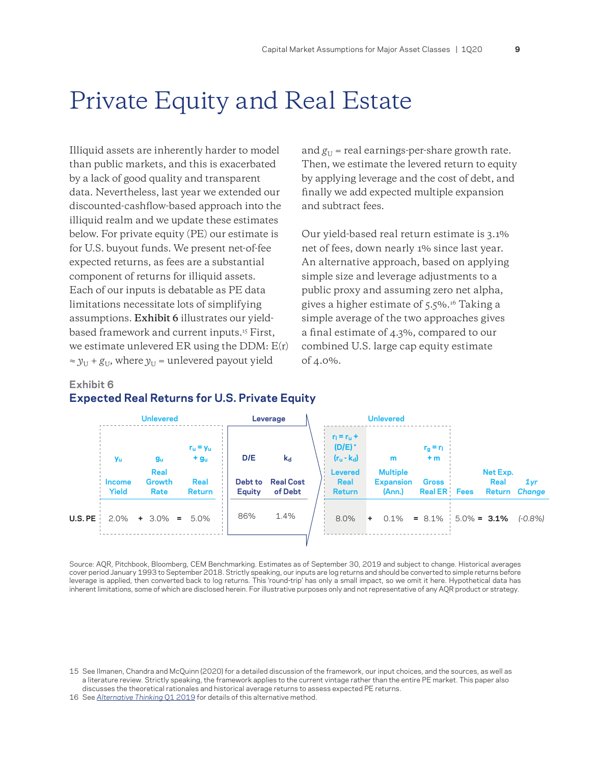### <span id="page-8-0"></span>Private Equity and Real Estate

Illiquid assets are inherently harder to model than public markets, and this is exacerbated by a lack of good quality and transparent data. Nevertheless, last year we extended our discounted-cashflow-based approach into the illiquid realm and we update these estimates below. For private equity (PE) our estimate is for U.S. buyout funds. We present net-of-fee expected returns, as fees are a substantial component of returns for illiquid assets. Each of our inputs is debatable as PE data limitations necessitate lots of simplifying assumptions. **Exhibit 6** illustrates our yieldbased framework and current inputs.15 First, we estimate unlevered ER using the DDM: E(r)  $\approx y_U + g_U$ , where  $y_U$  = unlevered payout yield

and  $g_U$  = real earnings-per-share growth rate. Then, we estimate the levered return to equity by applying leverage and the cost of debt, and finally we add expected multiple expansion and subtract fees.

Our yield-based real return estimate is 3.1% net of fees, down nearly 1% since last year. An alternative approach, based on applying simple size and leverage adjustments to a public proxy and assuming zero net alpha, gives a higher estimate of 5.5%.16 Taking a simple average of the two approaches gives a final estimate of 4.3%, compared to our combined U.S. large cap equity estimate of 4.0%.

#### **Exhibit 6**

### **Expected Real Returns for U.S. Private Equity**

|                    | <b>Unlevered</b>              |                       |                       | Leverage                 |                             | <b>Unlevered</b> |                                                               |  |                            |                                 |  |                |               |  |
|--------------------|-------------------------------|-----------------------|-----------------------|--------------------------|-----------------------------|------------------|---------------------------------------------------------------|--|----------------------------|---------------------------------|--|----------------|---------------|--|
|                    | <b>Yu</b>                     | $g_u$<br>Real         | $r_u = y_u$<br>$+gu$  | D/E                      | $k_d$                       |                  | $r_1 = r_0 +$<br>$(D/E)^*$<br>$(r_u - k_d)$<br><b>Levered</b> |  | m<br><b>Multiple</b>       | $r_{\rm g} = r_{\rm l}$<br>$+m$ |  | Net Exp.       |               |  |
|                    | <b>Income</b><br><b>Yield</b> | Growth<br>Rate        | Real<br><b>Return</b> | Debt to<br><b>Equity</b> | <b>Real Cost</b><br>of Debt |                  | Real<br><b>Return</b>                                         |  | <b>Expansion</b><br>(Ann.) | Gross<br><b>Real ER</b> Fees    |  | Real<br>Return | 1yr<br>Change |  |
| $U.S.$ PE $\vdash$ |                               | $2.0\%$ + 3.0% = 5.0% |                       | 86%                      | 1.4%                        |                  | 8.0%                                                          |  | $+$ 0.1%                   | $= 8.1\%$ 5.0% = <b>3.1%</b>    |  |                | $(-0.8%)$     |  |
|                    |                               |                       |                       |                          |                             |                  |                                                               |  |                            |                                 |  |                |               |  |

Source: AQR, Pitchbook, Bloomberg, CEM Benchmarking. Estimates as of September 30, 2019 and subject to change. Historical averages cover period January 1993 to September 2018. Strictly speaking, our inputs are log returns and should be converted to simple returns before leverage is applied, then converted back to log returns. This 'round-trip' has only a small impact, so we omit it here. Hypothetical data has inherent limitations, some of which are disclosed herein. For illustrative purposes only and not representative of any AQR product or strategy.

16 See *[Alternative Thinking](https://www.aqr.com/Insights/Research/Alternative-Thinking/2019-Capital-Market-Assumptions-for-Major-Asset-Classes)* Q1 2019 for details of this alternative method.

<sup>15</sup> See Ilmanen, Chandra and McQuinn (2020) for a detailed discussion of the framework, our input choices, and the sources, as well as a literature review. Strictly speaking, the framework applies to the current vintage rather than the entire PE market. This paper also discusses the theoretical rationales and historical average returns to assess expected PE returns.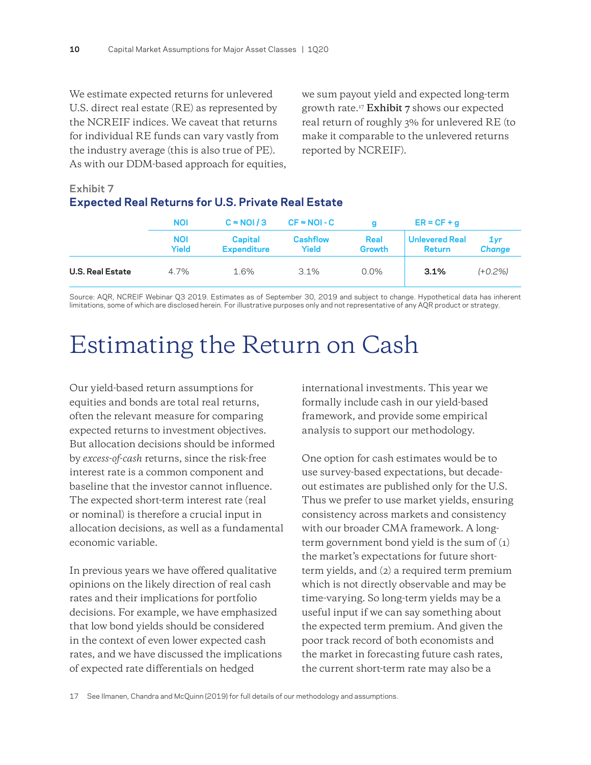<span id="page-9-0"></span>We estimate expected returns for unlevered U.S. direct real estate (RE) as represented by the NCREIF indices. We caveat that returns for individual RE funds can vary vastly from the industry average (this is also true of PE). As with our DDM-based approach for equities, we sum payout yield and expected long-term growth rate.17 **Exhibit 7** shows our expected real return of roughly 3% for unlevered RE (to make it comparable to the unlevered returns reported by NCREIF).

### **Exhibit 7 Expected Real Returns for U.S. Private Real Estate**

|                         | <b>NOI</b>          | $C \approx NQ1/3$             | $CF = NOI - C$           | o                            | $ER = CF + q$                          |                      |  |
|-------------------------|---------------------|-------------------------------|--------------------------|------------------------------|----------------------------------------|----------------------|--|
|                         | <b>NOI</b><br>Yield | Capital<br><b>Expenditure</b> | <b>Cashflow</b><br>Yield | <b>Real</b><br><b>Growth</b> | <b>Unlevered Real</b><br><b>Return</b> | 1yr<br><b>Change</b> |  |
| <b>U.S. Real Estate</b> | 4.7%                | 1.6%                          | $3.1\%$                  | $0.0\%$                      | 3.1%                                   | $(+0.2%)$            |  |

Source: AQR, NCREIF Webinar Q3 2019. Estimates as of September 30, 2019 and subject to change. Hypothetical data has inherent limitations, some of which are disclosed herein. For illustrative purposes only and not representative of any AQR product or strategy.

# Estimating the Return on Cash

Our yield-based return assumptions for equities and bonds are total real returns, often the relevant measure for comparing expected returns to investment objectives. But allocation decisions should be informed by *excess-of-cash* returns, since the risk-free interest rate is a common component and baseline that the investor cannot influence. The expected short-term interest rate (real or nominal) is therefore a crucial input in allocation decisions, as well as a fundamental economic variable.

In previous years we have offered qualitative opinions on the likely direction of real cash rates and their implications for portfolio decisions. For example, we have emphasized that low bond yields should be considered in the context of even lower expected cash rates, and we have discussed the implications of expected rate differentials on hedged

international investments. This year we formally include cash in our yield-based framework, and provide some empirical analysis to support our methodology.

One option for cash estimates would be to use survey-based expectations, but decadeout estimates are published only for the U.S. Thus we prefer to use market yields, ensuring consistency across markets and consistency with our broader CMA framework. A longterm government bond yield is the sum of (1) the market's expectations for future shortterm yields, and (2) a required term premium which is not directly observable and may be time-varying. So long-term yields may be a useful input if we can say something about the expected term premium. And given the poor track record of both economists and the market in forecasting future cash rates, the current short-term rate may also be a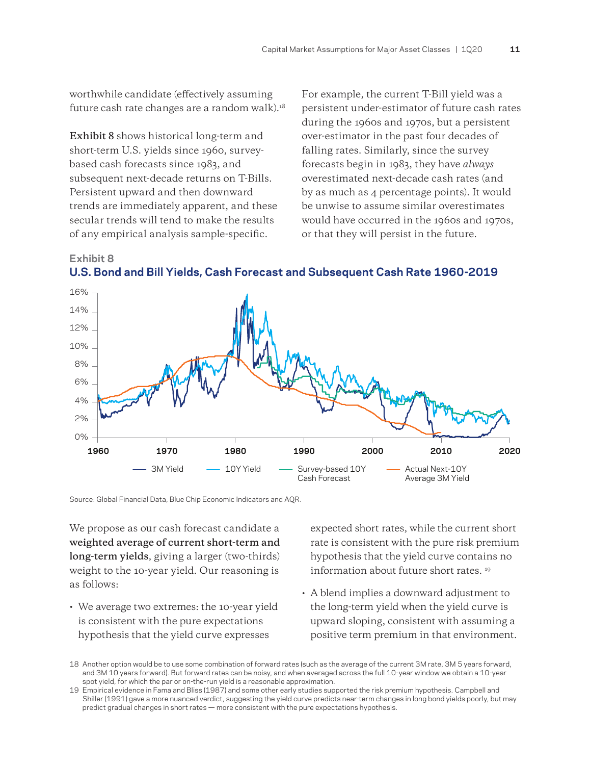worthwhile candidate (effectively assuming future cash rate changes are a random walk).18

**Exhibit 8** shows historical long-term and short-term U.S. yields since 1960, surveybased cash forecasts since 1983, and subsequent next-decade returns on T-Bills. Persistent upward and then downward trends are immediately apparent, and these secular trends will tend to make the results of any empirical analysis sample-specific.

For example, the current T-Bill yield was a persistent under-estimator of future cash rates during the 1960s and 1970s, but a persistent over-estimator in the past four decades of falling rates. Similarly, since the survey forecasts begin in 1983, they have *always* overestimated next-decade cash rates (and by as much as 4 percentage points). It would be unwise to assume similar overestimates would have occurred in the 1960s and 1970s, or that they will persist in the future.





Source: Global Financial Data, Blue Chip Economic Indicators and AQR.

We propose as our cash forecast candidate a **weighted average of current short-term and long-term yields**, giving a larger (two-thirds) weight to the 10-year yield. Our reasoning is as follows:

• We average two extremes: the 10-year yield is consistent with the pure expectations hypothesis that the yield curve expresses

expected short rates, while the current short rate is consistent with the pure risk premium hypothesis that the yield curve contains no information about future short rates. 19

• A blend implies a downward adjustment to the long-term yield when the yield curve is upward sloping, consistent with assuming a positive term premium in that environment.

<sup>18</sup> Another option would be to use some combination of forward rates (such as the average of the current 3M rate, 3M 5 years forward, and 3M 10 years forward). But forward rates can be noisy, and when averaged across the full 10-year window we obtain a 10-year spot yield, for which the par or on-the-run yield is a reasonable approximation.

<sup>19</sup> Empirical evidence in Fama and Bliss (1987) and some other early studies supported the risk premium hypothesis. Campbell and Shiller (1991) gave a more nuanced verdict, suggesting the yield curve predicts near-term changes in long bond yields poorly, but may predict gradual changes in short rates — more consistent with the pure expectations hypothesis.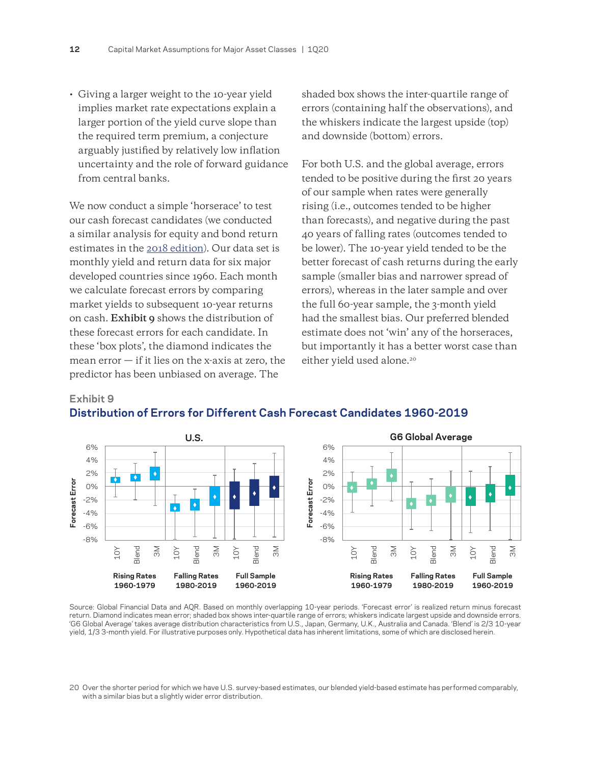• Giving a larger weight to the 10-year yield implies market rate expectations explain a larger portion of the yield curve slope than the required term premium, a conjecture arguably justified by relatively low inflation uncertainty and the role of forward guidance from central banks.

We now conduct a simple 'horserace' to test our cash forecast candidates (we conducted a similar analysis for equity and bond return estimates in the [2018 edition\)](https://www.aqr.com/Insights/Research/Alternative-Thinking/2018-Capital-Market-Assumptions-for-Major-Asset-Classes). Our data set is monthly yield and return data for six major developed countries since 1960. Each month we calculate forecast errors by comparing market yields to subsequent 10-year returns on cash. **Exhibit 9** shows the distribution of these forecast errors for each candidate. In these 'box plots', the diamond indicates the mean  $error - if$  it lies on the x-axis at zero, the predictor has been unbiased on average. The

**Exhibit 9** 

shaded box shows the inter-quartile range of errors (containing half the observations), and the whiskers indicate the largest upside (top) and downside (bottom) errors.

For both U.S. and the global average, errors tended to be positive during the first 20 years of our sample when rates were generally rising (i.e., outcomes tended to be higher than forecasts), and negative during the past 40 years of falling rates (outcomes tended to be lower). The 10-year yield tended to be the better forecast of cash returns during the early sample (smaller bias and narrower spread of errors), whereas in the later sample and over the full 60-year sample, the 3-month yield had the smallest bias. Our preferred blended estimate does not 'win' any of the horseraces, but importantly it has a better worst case than either yield used alone.<sup>20</sup>



### **Distribution of Errors for Different Cash Forecast Candidates 1960-2019**

Source: Global Financial Data and AQR. Based on monthly overlapping 10-year periods. 'Forecast error' is realized return minus forecast return. Diamond indicates mean error; shaded box shows inter-quartile range of errors; whiskers indicate largest upside and downside errors. 'G6 Global Average' takes average distribution characteristics from U.S., Japan, Germany, U.K., Australia and Canada. 'Blend' is 2/3 10-year yield, 1/3 3-month yield. For illustrative purposes only. Hypothetical data has inherent limitations, some of which are disclosed herein.

<sup>20</sup> Over the shorter period for which we have U.S. survey-based estimates, our blended yield-based estimate has performed comparably, with a similar bias but a slightly wider error distribution.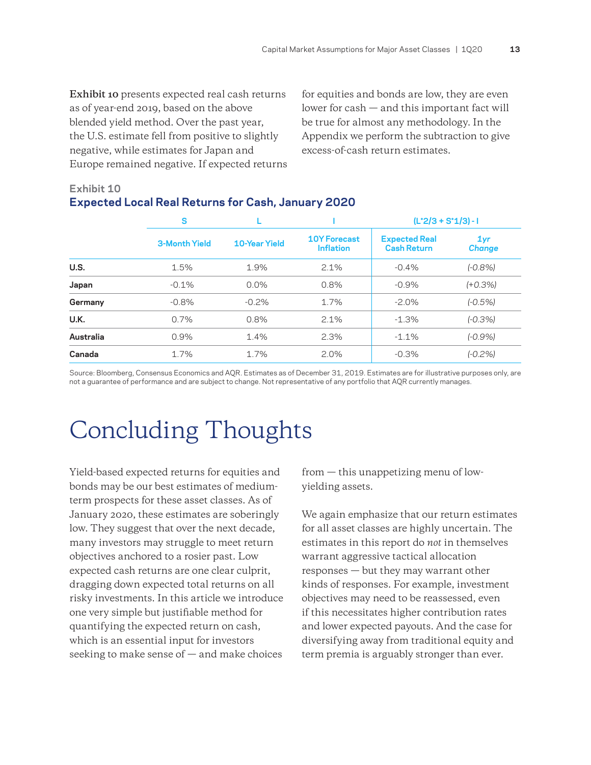<span id="page-12-0"></span>**Exhibit 10** presents expected real cash returns as of year-end 2019, based on the above blended yield method. Over the past year, the U.S. estimate fell from positive to slightly negative, while estimates for Japan and Europe remained negative. If expected returns for equities and bonds are low, they are even lower for cash — and this important fact will be true for almost any methodology. In the Appendix we perform the subtraction to give excess-of-cash return estimates.

### **Exhibit 10 Expected Local Real Returns for Cash, January 2020**

|           | S                    |               |                                         | $(L^*2/3 + S^*1/3) - I$                    |                      |  |
|-----------|----------------------|---------------|-----------------------------------------|--------------------------------------------|----------------------|--|
|           | <b>3-Month Yield</b> | 10-Year Yield | <b>10Y Forecast</b><br><b>Inflation</b> | <b>Expected Real</b><br><b>Cash Return</b> | 1yr<br><b>Change</b> |  |
| U.S.      | 1.5%                 | 1.9%          | 2.1%                                    | $-0.4%$                                    | $(-0.8%)$            |  |
| Japan     | $-0.1\%$             | 0.0%          | 0.8%                                    | $-0.9%$                                    | $(+0.3%)$            |  |
| Germany   | $-0.8%$              | $-0.2%$       | 1.7%                                    | $-2.0%$                                    | $(-0.5%)$            |  |
| U.K.      | 0.7%                 | 0.8%          | 2.1%                                    | $-1.3%$                                    | $(-0.3%)$            |  |
| Australia | 0.9%                 | 1.4%          | 2.3%                                    | $-1.1%$                                    | $(-0.9%)$            |  |
| Canada    | 1.7%                 | 1.7%          | 2.0%                                    | $-0.3%$                                    | $(-0.2%)$            |  |

Source: Bloomberg, Consensus Economics and AQR. Estimates as of December 31, 2019. Estimates are for illustrative purposes only, are not a guarantee of performance and are subject to change. Not representative of any portfolio that AQR currently manages.

# Concluding Thoughts

Yield-based expected returns for equities and bonds may be our best estimates of mediumterm prospects for these asset classes. As of January 2020, these estimates are soberingly low. They suggest that over the next decade, many investors may struggle to meet return objectives anchored to a rosier past. Low expected cash returns are one clear culprit, dragging down expected total returns on all risky investments. In this article we introduce one very simple but justifiable method for quantifying the expected return on cash, which is an essential input for investors seeking to make sense of  $-$  and make choices

from — this unappetizing menu of lowyielding assets.

We again emphasize that our return estimates for all asset classes are highly uncertain. The estimates in this report do *not* in themselves warrant aggressive tactical allocation responses — but they may warrant other kinds of responses. For example, investment objectives may need to be reassessed, even if this necessitates higher contribution rates and lower expected payouts. And the case for diversifying away from traditional equity and term premia is arguably stronger than ever.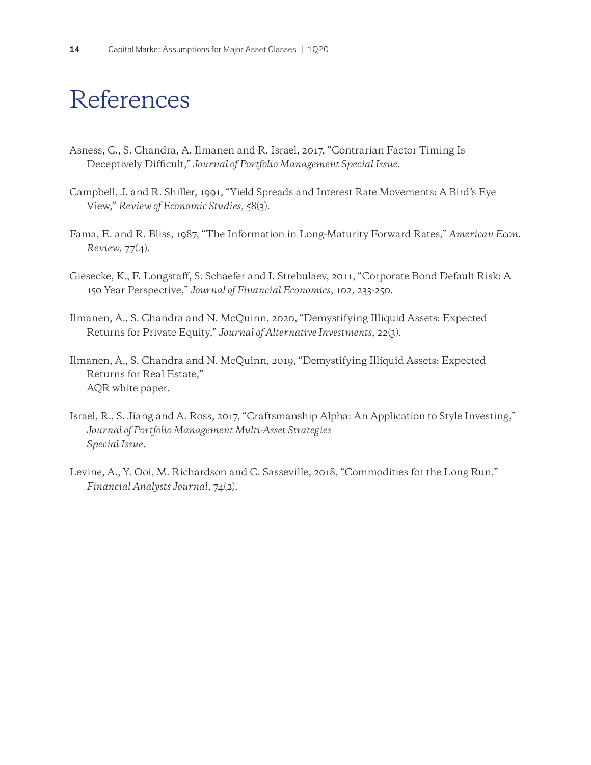# <span id="page-13-0"></span>References

- Asness, C., S. Chandra, A. Ilmanen and R. Israel, 2017, "Contrarian Factor Timing Is Deceptively Difficult," *Journal of Portfolio Management Special Issue*.
- Campbell, J. and R. Shiller, 1991, "Yield Spreads and Interest Rate Movements: A Bird's Eye View," *Review of Economic Studies*, 58(3).
- Fama, E. and R. Bliss, 1987, "The Information in Long-Maturity Forward Rates," *American Econ. Review*, 77(4).
- Giesecke, K., F. Longstaff, S. Schaefer and I. Strebulaev, 2011, "Corporate Bond Default Risk: A 150 Year Perspective," *Journal of Financial Economics*, 102, 233-250.
- Ilmanen, A., S. Chandra and N. McQuinn, 2020, "Demystifying Illiquid Assets: Expected Returns for Private Equity," *Journal of Alternative Investments*, 22(3).
- Ilmanen, A., S. Chandra and N. McQuinn, 2019, "Demystifying Illiquid Assets: Expected Returns for Real Estate," AQR white paper.
- Israel, R., S. Jiang and A. Ross, 2017, "Craftsmanship Alpha: An Application to Style Investing," *Journal of Portfolio Management Multi-Asset Strategies Special Issue*.
- Levine, A., Y. Ooi, M. Richardson and C. Sasseville, 2018, "Commodities for the Long Run," *Financial Analysts Journal*, 74(2).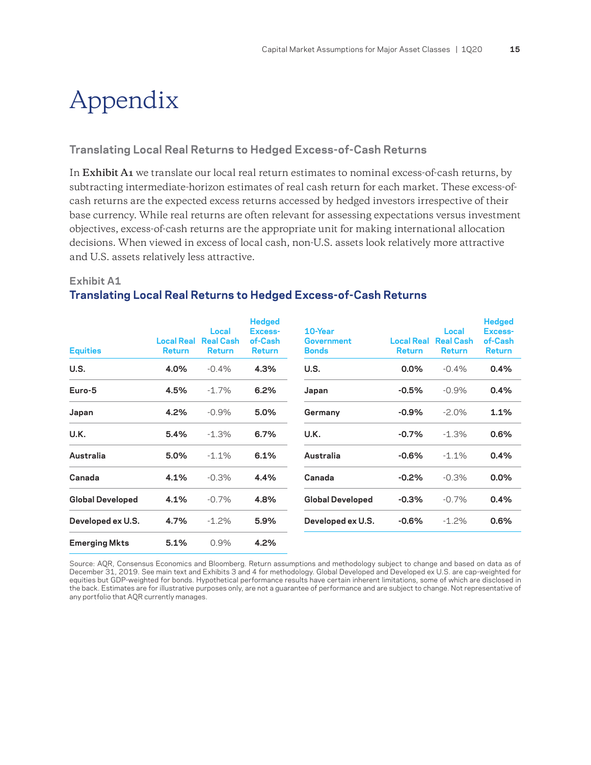# <span id="page-14-0"></span>Appendix

#### **Translating Local Real Returns to Hedged Excess-of-Cash Returns**

In **Exhibit A1** we translate our local real return estimates to nominal excess-of-cash returns, by subtracting intermediate-horizon estimates of real cash return for each market. These excess-ofcash returns are the expected excess returns accessed by hedged investors irrespective of their base currency. While real returns are often relevant for assessing expectations versus investment objectives, excess-of-cash returns are the appropriate unit for making international allocation decisions. When viewed in excess of local cash, non-U.S. assets look relatively more attractive and U.S. assets relatively less attractive.

#### **Exhibit A1**

### **Translating Local Real Returns to Hedged Excess-of-Cash Returns**

| <b>Equities</b>         | <b>Local Real</b><br><b>Return</b> | Local<br><b>Real Cash</b><br><b>Return</b> | <b>Hedged</b><br><b>Excess-</b><br>of-Cash<br><b>Return</b> | 10-Year<br>Government<br><b>Bonds</b> | <b>Local Real</b><br><b>Return</b> | Local<br><b>Real Cash</b><br><b>Return</b> | <b>Hedged</b><br>Excess-<br>of-Cash<br><b>Return</b> |
|-------------------------|------------------------------------|--------------------------------------------|-------------------------------------------------------------|---------------------------------------|------------------------------------|--------------------------------------------|------------------------------------------------------|
| U.S.                    | 4.0%                               | $-0.4%$                                    | 4.3%                                                        | U.S.                                  | $0.0\%$                            | $-0.4%$                                    | 0.4%                                                 |
| Euro-5                  | 4.5%                               | $-1.7%$                                    | 6.2%                                                        | Japan                                 | $-0.5%$                            | $-0.9%$                                    | 0.4%                                                 |
| Japan                   | 4.2%                               | $-0.9%$                                    | 5.0%                                                        | Germany                               | $-0.9%$                            | $-2.0\%$                                   | 1.1%                                                 |
| U.K.                    | 5.4%                               | $-1.3%$                                    | 6.7%                                                        | U.K.                                  | $-0.7%$                            | $-1.3%$                                    | 0.6%                                                 |
| Australia               | 5.0%                               | $-1.1%$                                    | 6.1%                                                        | Australia                             | $-0.6%$                            | $-1.1\%$                                   | 0.4%                                                 |
| Canada                  | 4.1%                               | $-0.3%$                                    | 4.4%                                                        | Canada                                | $-0.2%$                            | $-0.3%$                                    | 0.0%                                                 |
| <b>Global Developed</b> | 4.1%                               | $-0.7%$                                    | 4.8%                                                        | <b>Global Developed</b>               | $-0.3%$                            | $-0.7\%$                                   | 0.4%                                                 |
| Developed ex U.S.       | 4.7%                               | $-1.2%$                                    | 5.9%                                                        | Developed ex U.S.                     | $-0.6%$                            | $-1.2%$                                    | 0.6%                                                 |
| <b>Emerging Mkts</b>    | 5.1%                               | 0.9%                                       | 4.2%                                                        |                                       |                                    |                                            |                                                      |

Source: AQR, Consensus Economics and Bloomberg. Return assumptions and methodology subject to change and based on data as of December 31, 2019. See main text and Exhibits 3 and 4 for methodology. Global Developed and Developed ex U.S. are cap-weighted for equities but GDP-weighted for bonds. Hypothetical performance results have certain inherent limitations, some of which are disclosed in the back. Estimates are for illustrative purposes only, are not a guarantee of performance and are subject to change. Not representative of any portfolio that AQR currently manages.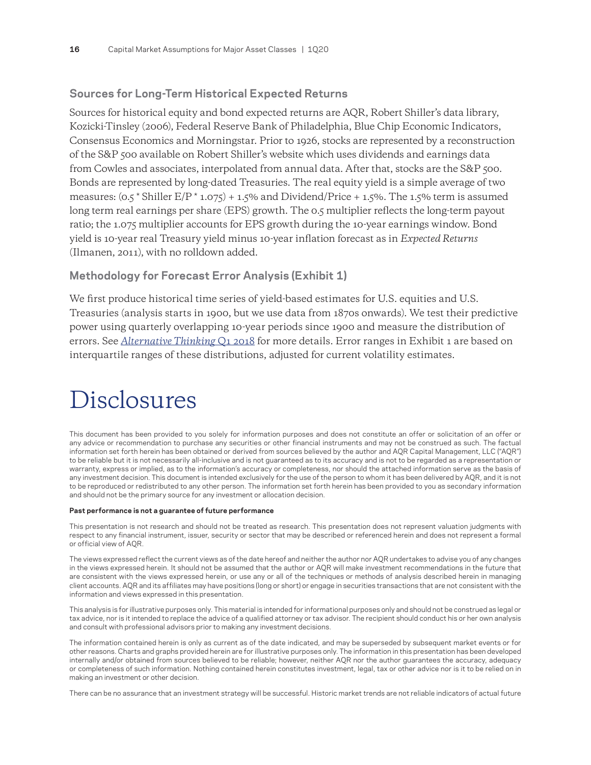### <span id="page-15-0"></span>**Sources for Long-Term Historical Expected Returns**

Sources for historical equity and bond expected returns are AQR, Robert Shiller's data library, Kozicki-Tinsley (2006), Federal Reserve Bank of Philadelphia, Blue Chip Economic Indicators, Consensus Economics and Morningstar. Prior to 1926, stocks are represented by a reconstruction of the S&P 500 available on Robert Shiller's website which uses dividends and earnings data from Cowles and associates, interpolated from annual data. After that, stocks are the S&P 500. Bonds are represented by long-dated Treasuries. The real equity yield is a simple average of two measures:  $(0.5 \times \text{Shiller E/P} \times 1.075) + 1.5\%$  and Dividend/Price + 1.5%. The 1.5% term is assumed long term real earnings per share (EPS) growth. The 0.5 multiplier reflects the long-term payout ratio; the 1.075 multiplier accounts for EPS growth during the 10-year earnings window. Bond yield is 10-year real Treasury yield minus 10-year inflation forecast as in *Expected Returns* (Ilmanen, 2011), with no rolldown added.

### **Methodology for Forecast Error Analysis (Exhibit 1)**

We first produce historical time series of yield-based estimates for U.S. equities and U.S. Treasuries (analysis starts in 1900, but we use data from 1870s onwards). We test their predictive power using quarterly overlapping 10-year periods since 1900 and measure the distribution of errors. See *[Alternative Thinking](https://www.aqr.com/Insights/Research/Alternative-Thinking/2018-Capital-Market-Assumptions-for-Major-Asset-Classes)* Q1 2018 for more details. Error ranges in Exhibit 1 are based on interquartile ranges of these distributions, adjusted for current volatility estimates.

# Disclosures

This document has been provided to you solely for information purposes and does not constitute an offer or solicitation of an offer or any advice or recommendation to purchase any securities or other financial instruments and may not be construed as such. The factual information set forth herein has been obtained or derived from sources believed by the author and AQR Capital Management, LLC ("AQR") to be reliable but it is not necessarily all-inclusive and is not guaranteed as to its accuracy and is not to be regarded as a representation or warranty, express or implied, as to the information's accuracy or completeness, nor should the attached information serve as the basis of any investment decision. This document is intended exclusively for the use of the person to whom it has been delivered by AQR, and it is not to be reproduced or redistributed to any other person. The information set forth herein has been provided to you as secondary information and should not be the primary source for any investment or allocation decision.

#### **Past performance is not a guarantee of future performance**

This presentation is not research and should not be treated as research. This presentation does not represent valuation judgments with respect to any financial instrument, issuer, security or sector that may be described or referenced herein and does not represent a formal or official view of AQR.

The views expressed reflect the current views as of the date hereof and neither the author nor AQR undertakes to advise you of any changes in the views expressed herein. It should not be assumed that the author or AQR will make investment recommendations in the future that are consistent with the views expressed herein, or use any or all of the techniques or methods of analysis described herein in managing client accounts. AQR and its affiliates may have positions (long or short) or engage in securities transactions that are not consistent with the information and views expressed in this presentation.

This analysis is for illustrative purposes only. This material is intended for informational purposes only and should not be construed as legal or tax advice, nor is it intended to replace the advice of a qualified attorney or tax advisor. The recipient should conduct his or her own analysis and consult with professional advisors prior to making any investment decisions.

The information contained herein is only as current as of the date indicated, and may be superseded by subsequent market events or for other reasons. Charts and graphs provided herein are for illustrative purposes only. The information in this presentation has been developed internally and/or obtained from sources believed to be reliable; however, neither AQR nor the author guarantees the accuracy, adequacy or completeness of such information. Nothing contained herein constitutes investment, legal, tax or other advice nor is it to be relied on in making an investment or other decision.

There can be no assurance that an investment strategy will be successful. Historic market trends are not reliable indicators of actual future